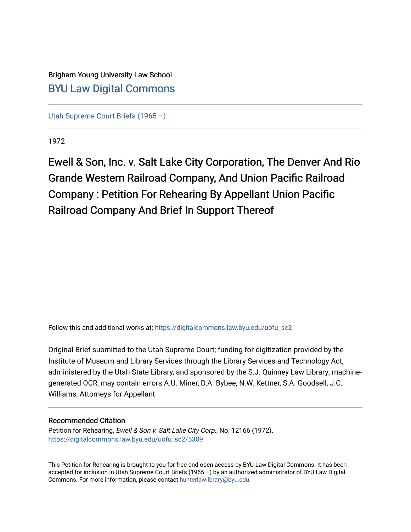Brigham Young University Law School [BYU Law Digital Commons](https://digitalcommons.law.byu.edu/) 

[Utah Supreme Court Briefs \(1965 –\)](https://digitalcommons.law.byu.edu/uofu_sc2)

1972

Ewell & Son, Inc. v. Salt Lake City Corporation, The Denver And Rio Grande Western Railroad Company, And Union Pacific Railroad Company : Petition For Rehearing By Appellant Union Pacific Railroad Company And Brief In Support Thereof

Follow this and additional works at: [https://digitalcommons.law.byu.edu/uofu\\_sc2](https://digitalcommons.law.byu.edu/uofu_sc2?utm_source=digitalcommons.law.byu.edu%2Fuofu_sc2%2F5309&utm_medium=PDF&utm_campaign=PDFCoverPages)

Original Brief submitted to the Utah Supreme Court; funding for digitization provided by the Institute of Museum and Library Services through the Library Services and Technology Act, administered by the Utah State Library, and sponsored by the S.J. Quinney Law Library; machinegenerated OCR, may contain errors.A.U. Miner, D.A. Bybee, N.W. Kettner, S.A. Goodsell, J.C. Williams; Attorneys for Appellant

#### Recommended Citation

Petition for Rehearing, Ewell & Son v. Salt Lake City Corp., No. 12166 (1972). [https://digitalcommons.law.byu.edu/uofu\\_sc2/5309](https://digitalcommons.law.byu.edu/uofu_sc2/5309?utm_source=digitalcommons.law.byu.edu%2Fuofu_sc2%2F5309&utm_medium=PDF&utm_campaign=PDFCoverPages) 

This Petition for Rehearing is brought to you for free and open access by BYU Law Digital Commons. It has been accepted for inclusion in Utah Supreme Court Briefs (1965 –) by an authorized administrator of BYU Law Digital Commons. For more information, please contact [hunterlawlibrary@byu.edu](mailto:hunterlawlibrary@byu.edu).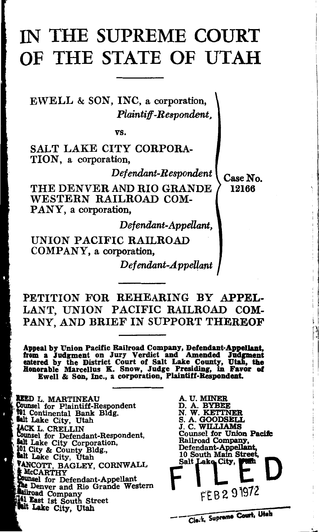# IN THE SUPREME COURT OF THE STATE OF UTAH

EWELL & SON, INC, a corporation, *Plaintiff-Respondent,* 

vs.

SALT LAKE CITY CORPORA-TION, a corporation,

*Defendant-Respondent* 

THE DENVER AND RIO GRANDE WESTERN RAILROAD COM-PANY, a corporation,

*Defendant-Appellant,* 

UNION PACIFIC RAILROAD COMPANY, a corporation,

*Defendant-A ppel1ant* 

PETITION FOR REHEARING BY APPEL-LANT, UNION PACIFIC RAILROAD COM-PANY, AND BRIEF IN SUPPORT THEREOF

Appeal by Union Pacific Railroad Company, Defendant-Appellant, from a Judgment on Jury Verdict and Amended Judgment entered by the District Court of Salt Lake County, Utah, the Honorable Marcellus K. Snow, Judge Presiding, in Favor of Ewell & Son, Inc., a corporation, Plaintiff-Respondent.

**REED L. MARTINEAU**<br>Counsel for Plaintiff-Respondent \*\*\* Continental Bank Bldg. **Read Continental Bank Bldg.** IACK L. CRELLIN Counsel for Defendant-Respondent, **Halt Lake City Corporation, 101 City & County Bldg., Balt** Lake City, Utah VANCOTT, BAGLEY, CORNWALL<br>\* McCARTHY<br>. Lounsel for Defendant-Appellant The Denver and Rio Grande Western **Anilroad Company<br>141 East 1st South Street** 'tilt Lake City, Vtah



Case No. 12166

> I I l I  $\mid$

 $\mathbf{I}$   $\mathbf{I}$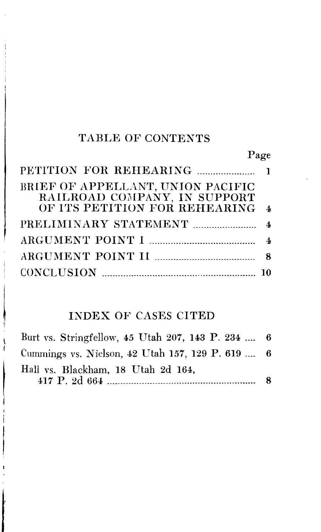## TABLE OF CONTENTS

# Page

| BRIEF OF APPELLANT, UNION PACIFIC |  |
|-----------------------------------|--|
| RAILROAD COMPANY, IN SUPPORT      |  |
| OF ITS PETITION FOR REHEARING 4   |  |
|                                   |  |
|                                   |  |
|                                   |  |
|                                   |  |

### INDEX OF CASES CITED

| Burt vs. Stringfellow, 45 Utah 207, 143 P. 234  6 |   |
|---------------------------------------------------|---|
| Cummings vs. Nielson, 42 Utah 157, 129 P. 619  6  |   |
| Hall vs. Blackham, 18 Utah 2d 164,                | 8 |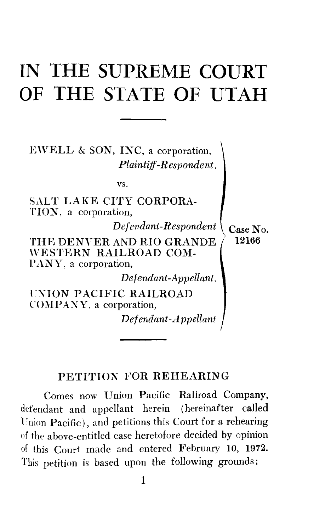# **IN THE SUPREME COURT OF THE STATE OF UTAH**

EWELL  $\&$  SON, INC, a corporation, *Plaintiff-Respondent.* 

vs.

SALT LAKE CITY CORPORA-TION, a corporation, *Defendant-Respondent*  $\overline{C}$   $\overline{C}$   $\overline{C}$ THE DENYER AND RIO GRANDE *I* 12166 \VESTERN RAILROAD COM-PANY, a corporation. *Defendant-Appellant,*  UXION PACIFIC RAILROAD COMPANY, a corporation,

*Def end ant-Appellant* 

#### PETITION FOR REHEARING

Comes now Union Pacific Raliroad Company, defendant and appellant herein (hereinafter called Union Pacific), and petitions this Court for a rehearing of the above-entitled case heretofore decided by opinion of this Court made and entered February 10, 1972. This petition is based upon the following grounds: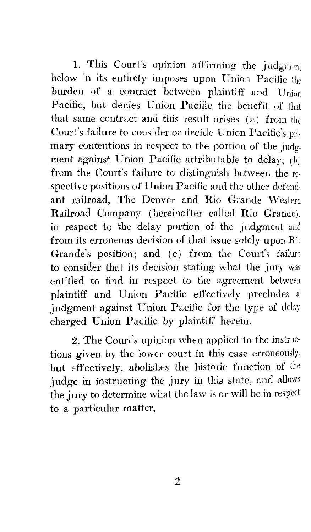1. This Court's opinion affirming the judgm  $\eta$ below in its entirety imposes upon Union Pacific the burden of a contract between plaintiff and Union Pacific, but denies Union Pacific the benefit of that that same contract and this result arises (a) from the Court's failure to consider or decide Union Pacific's primary contentions in respect to the portion of the judgment against Union Pacific attributable to delay; (h) from the Court's failure to distinguish between the re· spective positions of Union Pacific and the other defendant railroad. The Denver and Rio Grande Western Railroad Company (hereinafter called Rio Grande). in respect to the delay portion of the judgment and from its erroneous decision of that issue solely upon Rio Grande's position; and (c) from the Court's failure to consider that its decision stating what the jury was entitled to find in respect to the agreement between plaintiff and Union Pacific effectively precludes a judgment against Union Pacific for the type of delay charged Union Pacific by plaintiff herein.

2. The Court's opinion when applied to the instructions given by the lower court in this case erroneously, but effectively, abolishes the historic function of the judge in instructing the jury in this state, and allows the jury to determine what the law is or will be in respect to a particular matter.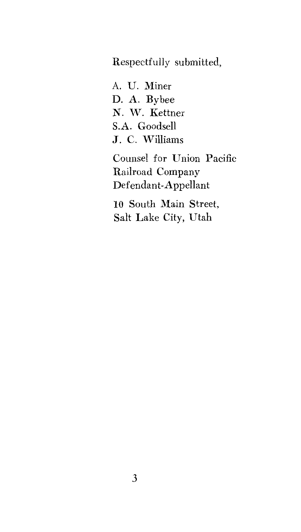Respectfully submitted,

A. U. Miner D. A. Bybee N. W. Kettner S.A. Goodsell J. C. Williams

Counsel for Union Pacific Railroad Company Defendant-Appellant

10 South Main Street, Salt Lake City, Utah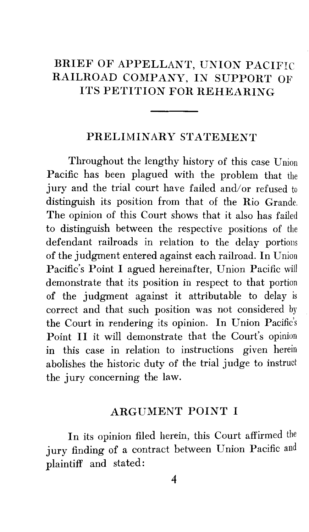## BRIEF OF APPELLANT, UNION PACIFIC RAILROAD COMPANY, IN SUPPORT OF ITS PETITION FOR REHEARING

#### PRELIMINARY STATEMENT

Throughout the lengthy history of this case Union Pacific has been plagued with the problem that the jury and the trial court have failed and/or refused to distinguish its position from that of the Rio Grande. The opinion of this Court shows that it also has failed to distinguish between the respective positions of the defendant railroads in relation to the delay portions of the judgment entered against each railroad. In Union Pacific's Point I agued hereinafter, Union Pacific will demonstrate that its position in respect to that portion of the judgment against it attributable to delay is correct and that such position was not considered by the Court in rendering its opinion. In Union Pacific's Point II it will demonstrate that the Court's opinion in this case in relation to instructions given herein abolishes the historic duty of the trial judge to instruct the jury concerning the law.

#### ARGUMENT POINT I

In its opinion filed herein, this Court affirmed the jury finding of a contract between Union Pacific and plaintiff and stated: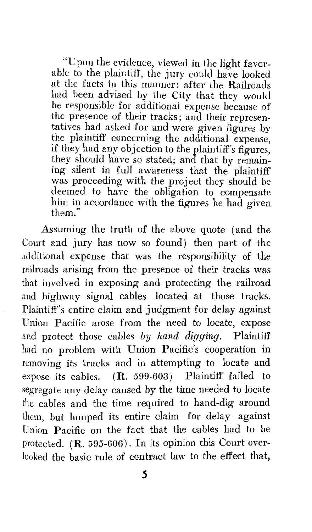"Upon the evidence, viewed in the light favorable to the plaintiff, the jury could have looked at the facts in this manner: after the Railroads had been advised by the City that they would be responsible for additional expense because of the presence of their tracks; and their representatives had asked for and were given figures by the plaintiff concerning the additional expense, if they had any objection to the plaintiff's figures, they should have so stated; and that by remaining silent in full awareness that the plaintiff was proceeding with the project they should be deemed to have the obligation to compensate him in accordance with the figures he had given them."

Assuming the truth of the above quote (and the Court and jury has now so found) then part of the additional expense that was the responsibility of the railroads arising from the presence of their tracks was that involved in exposing and protecting the railroad and highway signal cables located at those tracks. Plaintiff's entire claim and judgment for delay against Union Pacific arose from the need to locate, expose and protect those cables *by hand digging.* Plaintiff had no problem with Union Pacific's cooperation in removing its tracks and in attempting to locate and expose its cables. ( R. 599-603) Plaintiff failed to segregate any delay caused by the time needed to locate the cables and the time required to hand-dig around them, but lumped its entire claim for delay against Union Pacific on the fact that the cables had to be protected. (R. 595-606). In its opinion this Court overlooked the basic rule of contract law to the effect that,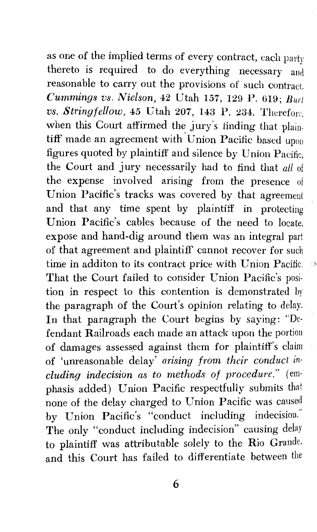as one of the implied terms of every contract, each party thereto is required to do everything necessary and reasonable to carry out the provisions of such contract. *Cummings vs. Nielson,* 42 Utah 157, 129 P. 619; *Burt vs. Stringfellow,* 45 Utah 207, 143 P. 234. Therefore, when this Court affirmed the jury's finding that plaintiff made an agreement with Union Pacific based upon figures quoted by plaintiff and silence by Union Pacific, the Court and jury necessarily had to find that *all* of the expense involved arising from the presence of Union Pacific's tracks was covered by that agreement and that any time spent by plaintiff in protecting Union Pacific's cables because of the need to locate, expose and hand-dig around them was an integral part of that agreement and plaintiff cannot recover for such time in additon to its contract price with Union Pacific. 20 That the Court failed to consider Union Pacific's position in respect to this contention is demonstrated by the paragraph of the Court's opinion relating to delay. In that paragraph the Court begins by saying: "Defendant Railroads each made an attack upon the portion of damages assessed against them for plaintiff's claim of 'unreasonable delay' *arising from their conduct including indecision as to methods of procedure."* (emphasis added) Union Pacific respectfully submits that none of the delay charged to Union Pacific was caused by Union Pacific's "conduct including indecision." The only "conduct including indecision" causing delay to plaintiff was attributable solely to the Rio Grande. and this Court has failed to differentiate between the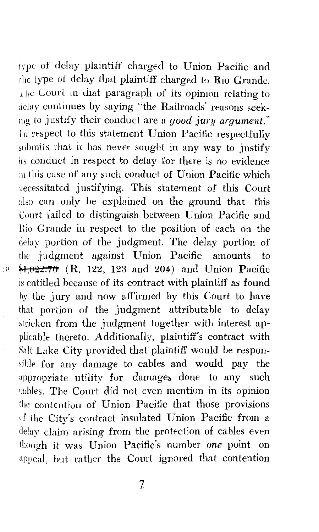type of delay plaintiff charged to Union Pacific and the type of delay that plaintiff charged to Rio Grande. The Court in that paragraph of its opinion relating to delay continues by saying "the Railroads' reasons seeking to justify their conduct are a *good jury argument."*   $\ln$  respect to this statement Union Pacific respectfully submits that it has never sought in any way to justify its conduct in respect to delay for there is no evidence in this case of any such conduct of Union Pacific which necessitated justifying. This statement of this Court also can only be explained on the ground that this Court failed to distinguish between Union Pacific and Hio Grande in respect to the position of each on the delay portion of the judgment. The delay portion of the judgment against Union Pacific amounts to  $4.022.70$  (R. 122, 123 and 204) and Union Pacific is entitled because of its contract with plaintiff as found by the jury and now affirmed by this Court to have that portion of the judgment attributable to delay stricken from the judgment together with interest applicable thereto. Additionally, plaintiff's contract with Salt Lake City provided that plaintiff would be responsible for any damage to cables and would pay the appropriate utility for damages done to any such cables. The Court did not even mention in its opinion the contention of Union Pacific that those provisions of the City's contract insulated Union Pacific from a delay claim arising from the protection of cables even though it was Union Pacific's number *one* point on appeal, hut rather the Court ignored that contention

 $\cdot$  )  $\delta$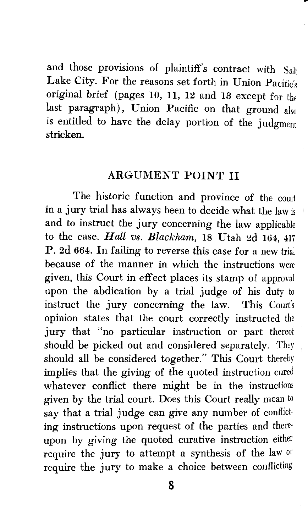and those provisions of plaintiff's contract with Salt Lake City. For the reasons set forth in Union Pacific's original brief (pages 10, 11, 12 and 13 except for the last paragraph), Union Pacific on that ground also is entitled to have the delay portion of the judgment stricken.

#### ARGUMENT POINT II

The historic function and province of the court in a jury trial has always been to decide what the law is and to instruct the jury concerning the law applicable to the case. *Hdl vs. Blackham,* 18 Utah 2d 164, 417 P. 2d 664. In failing to reverse this case for a new trial because of the manner in which the instructions were given, this Court in effect places its stamp of approval upon the abdication by a trial judge of his duty to instruct the jury concerning the law. This Court's opinion states that the court correctly instructed the jury that "no particular instruction or part thereof should be picked out and considered separately. They should all be considered together." This Court thereby implies that the giving of the quoted instruction cured whatever conflict there might be in the instructions given by the trial court. Does this Court really mean to say that a trial judge can give any number of conflicting instructions upon request of the parties and thereupon by giving the quoted curative instruction either require the jury to attempt a synthesis of the law or require the jury to make a choice between conflicting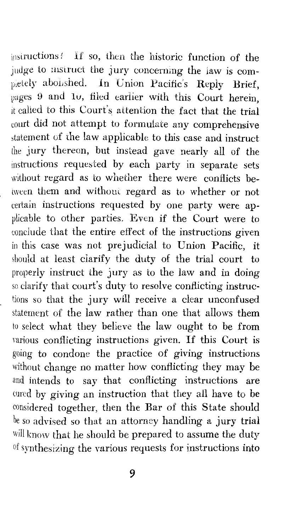instructions! If so, then the historic function of the judge to mstruct the jury concerning the law is completely abolished. In Union Pacific's Reply Brief, pages 9 and 10, filed earlier with this Court herein, it called to this Court's attention the fact that the trial court did not attempt to formulate any comprehensive statement of the law applicable to this case and instruct the jury thereon, but instead gave nearly all of the instructions requested by each party in separate sets without regard as to whether there were conflicts between them and without regard as to whether or not certain instructions requested by one party were applicable to other parties. Even if the Court were to conclude that the entire effect of the instructions given in this case was not prejudicial to Union Pacific, it should at least clarify the duty of the trial court to properly instruct the jury as to the law and in doing so clarify that court's duty to resolve conflicting instructions so that the jury will receive a clear unconfused statement of the law rather than one that allows them to select what they believe the law ought to be from various conflicting instructions given. If this Court is going to condone the practice of giving instructions without change no matter how conflicting they may be and intends to say that conflicting instructions are cured by giving an instruction that they all have to be considered together, then the Bar of this State should be so advised so that an attorney handling a jury trial will know that he should be prepared to assume the duty of synthesizing the yarious requests for instructions into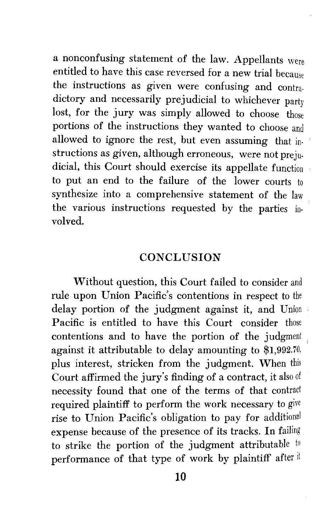a nonconfusing statement of the law. Appellants were entitled to have this case reversed for a new trial because the instructions as given were confusing and contradictory and necessarily prejudicial to whichever party lost, for the jury was simply allowed to choose those portions of the instructions they wanted to choose and allowed to ignore the rest, but even assuming that instructions as given, although erroneous, were not prejudicial, this Court should exercise its appellate function to put an end to the failure of the lower courts to synthesize into a comprehensive statement of the law the various instructions requested by the parties involved.

#### **CONCLUSION**

Without question, this Court failed to consider and rule upon Union Pacific's contentions in respect to the delay portion of the judgment against it, and Union Pacific is entitled to have this Court consider those contentions and to have the portion of the judgment against it attributable to delay amounting to \$1,992.70, plus interest, stricken from the judgment. When this Court affirmed the jury's finding of a contract, it also of necessity found that one of the terms of that contract required plaintiff to perform the work necessary to give rise to Union Pacific's obligation to pay for additional expense because of the presence of its tracks. In failing to strike the portion of the judgment attributable  $t_0$ performance of that type of work by plaintiff after it